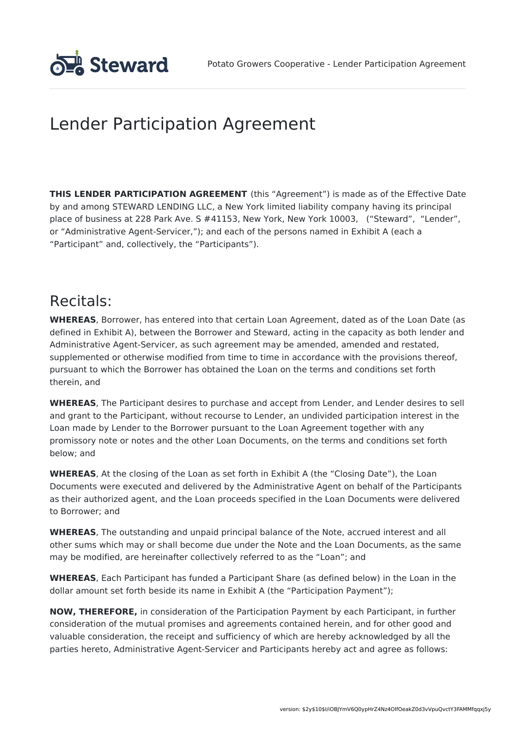

# Lender Participation Agreement

**THIS LENDER PARTICIPATION AGREEMENT** (this "Agreement") is made as of the Effective Date by and among STEWARD LENDING LLC, a New York limited liability company having its principal place of business at 228 Park Ave. S #41153, New York, New York 10003, ("Steward", "Lender", or "Administrative Agent-Servicer,"); and each of the persons named in Exhibit A (each a "Participant" and, collectively, the "Participants").

### Recitals:

**WHEREAS**, Borrower, has entered into that certain Loan Agreement, dated as of the Loan Date (as defined in Exhibit A), between the Borrower and Steward, acting in the capacity as both lender and Administrative Agent-Servicer, as such agreement may be amended, amended and restated, supplemented or otherwise modified from time to time in accordance with the provisions thereof, pursuant to which the Borrower has obtained the Loan on the terms and conditions set forth therein, and

**WHEREAS**, The Participant desires to purchase and accept from Lender, and Lender desires to sell and grant to the Participant, without recourse to Lender, an undivided participation interest in the Loan made by Lender to the Borrower pursuant to the Loan Agreement together with any promissory note or notes and the other Loan Documents, on the terms and conditions set forth below; and

**WHEREAS**, At the closing of the Loan as set forth in Exhibit A (the "Closing Date"), the Loan Documents were executed and delivered by the Administrative Agent on behalf of the Participants as their authorized agent, and the Loan proceeds specified in the Loan Documents were delivered to Borrower; and

**WHEREAS**, The outstanding and unpaid principal balance of the Note, accrued interest and all other sums which may or shall become due under the Note and the Loan Documents, as the same may be modified, are hereinafter collectively referred to as the "Loan"; and

**WHEREAS**, Each Participant has funded a Participant Share (as defined below) in the Loan in the dollar amount set forth beside its name in Exhibit A (the "Participation Payment");

**NOW, THEREFORE,** in consideration of the Participation Payment by each Participant, in further consideration of the mutual promises and agreements contained herein, and for other good and valuable consideration, the receipt and sufficiency of which are hereby acknowledged by all the parties hereto, Administrative Agent-Servicer and Participants hereby act and agree as follows: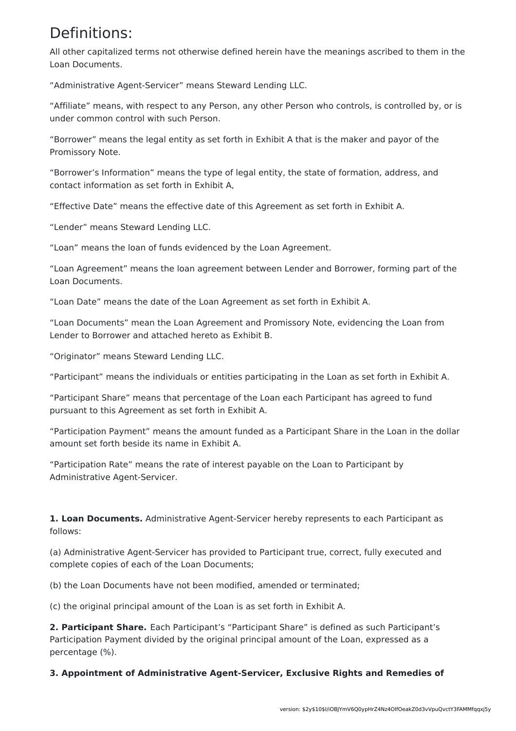## Definitions:

All other capitalized terms not otherwise defined herein have the meanings ascribed to them in the Loan Documents.

"Administrative Agent-Servicer" means Steward Lending LLC.

"Affiliate" means, with respect to any Person, any other Person who controls, is controlled by, or is under common control with such Person.

"Borrower" means the legal entity as set forth in Exhibit A that is the maker and payor of the Promissory Note.

"Borrower's Information" means the type of legal entity, the state of formation, address, and contact information as set forth in Exhibit A,

"Effective Date" means the effective date of this Agreement as set forth in Exhibit A.

"Lender" means Steward Lending LLC.

"Loan" means the loan of funds evidenced by the Loan Agreement.

"Loan Agreement" means the loan agreement between Lender and Borrower, forming part of the Loan Documents.

"Loan Date" means the date of the Loan Agreement as set forth in Exhibit A.

"Loan Documents" mean the Loan Agreement and Promissory Note, evidencing the Loan from Lender to Borrower and attached hereto as Exhibit B.

"Originator" means Steward Lending LLC.

"Participant" means the individuals or entities participating in the Loan as set forth in Exhibit A.

"Participant Share" means that percentage of the Loan each Participant has agreed to fund pursuant to this Agreement as set forth in Exhibit A.

"Participation Payment" means the amount funded as a Participant Share in the Loan in the dollar amount set forth beside its name in Exhibit A.

"Participation Rate" means the rate of interest payable on the Loan to Participant by Administrative Agent-Servicer.

**1. Loan Documents.** Administrative Agent-Servicer hereby represents to each Participant as follows:

(a) Administrative Agent-Servicer has provided to Participant true, correct, fully executed and complete copies of each of the Loan Documents;

(b) the Loan Documents have not been modified, amended or terminated;

(c) the original principal amount of the Loan is as set forth in Exhibit A.

**2. Participant Share.** Each Participant's "Participant Share" is defined as such Participant's Participation Payment divided by the original principal amount of the Loan, expressed as a percentage (%).

**3. Appointment of Administrative Agent-Servicer, Exclusive Rights and Remedies of**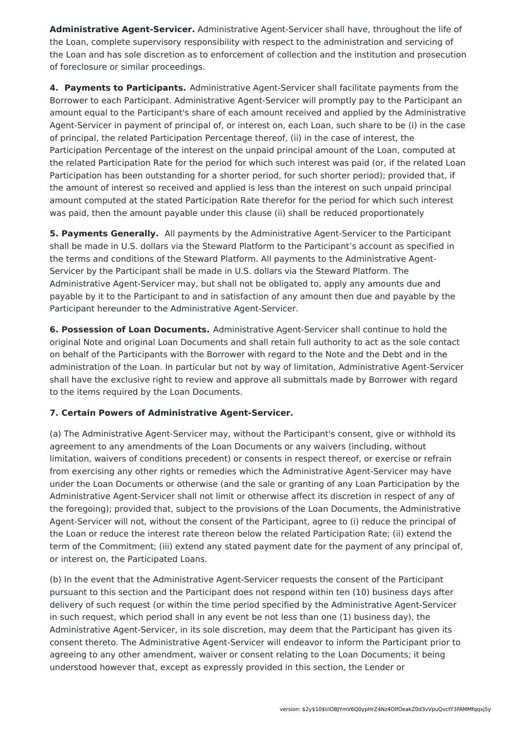**Administrative Agent-Servicer.** Administrative Agent-Servicer shall have, throughout the life of the Loan, complete supervisory responsibility with respect to the administration and servicing of the Loan and has sole discretion as to enforcement of collection and the institution and prosecution of foreclosure or similar proceedings.

**4. Payments to Participants.** Administrative Agent-Servicer shall facilitate payments from the Borrower to each Participant. Administrative Agent-Servicer will promptly pay to the Participant an amount equal to the Participant's share of each amount received and applied by the Administrative Agent-Servicer in payment of principal of, or interest on, each Loan, such share to be (i) in the case of principal, the related Participation Percentage thereof, (ii) in the case of interest, the Participation Percentage of the interest on the unpaid principal amount of the Loan, computed at the related Participation Rate for the period for which such interest was paid (or, if the related Loan Participation has been outstanding for a shorter period, for such shorter period); provided that, if the amount of interest so received and applied is less than the interest on such unpaid principal amount computed at the stated Participation Rate therefor for the period for which such interest was paid, then the amount payable under this clause (ii) shall be reduced proportionately

**5. Payments Generally.** All payments by the Administrative Agent-Servicer to the Participant shall be made in U.S. dollars via the Steward Platform to the Participant's account as specified in the terms and conditions of the Steward Platform. All payments to the Administrative Agent-Servicer by the Participant shall be made in U.S. dollars via the Steward Platform. The Administrative Agent-Servicer may, but shall not be obligated to, apply any amounts due and payable by it to the Participant to and in satisfaction of any amount then due and payable by the Participant hereunder to the Administrative Agent-Servicer.

**6. Possession of Loan Documents.** Administrative Agent-Servicer shall continue to hold the original Note and original Loan Documents and shall retain full authority to act as the sole contact on behalf of the Participants with the Borrower with regard to the Note and the Debt and in the administration of the Loan. In particular but not by way of limitation, Administrative Agent-Servicer shall have the exclusive right to review and approve all submittals made by Borrower with regard to the items required by the Loan Documents.

### **7. Certain Powers of Administrative Agent-Servicer.**

(a) The Administrative Agent-Servicer may, without the Participant's consent, give or withhold its agreement to any amendments of the Loan Documents or any waivers (including, without limitation, waivers of conditions precedent) or consents in respect thereof, or exercise or refrain from exercising any other rights or remedies which the Administrative Agent-Servicer may have under the Loan Documents or otherwise (and the sale or granting of any Loan Participation by the Administrative Agent-Servicer shall not limit or otherwise affect its discretion in respect of any of the foregoing); provided that, subject to the provisions of the Loan Documents, the Administrative Agent-Servicer will not, without the consent of the Participant, agree to (i) reduce the principal of the Loan or reduce the interest rate thereon below the related Participation Rate; (ii) extend the term of the Commitment; (iii) extend any stated payment date for the payment of any principal of, or interest on, the Participated Loans.

(b) In the event that the Administrative Agent-Servicer requests the consent of the Participant pursuant to this section and the Participant does not respond within ten (10) business days after delivery of such request (or within the time period specified by the Administrative Agent-Servicer in such request, which period shall in any event be not less than one (1) business day), the Administrative Agent-Servicer, in its sole discretion, may deem that the Participant has given its consent thereto. The Administrative Agent-Servicer will endeavor to inform the Participant prior to agreeing to any other amendment, waiver or consent relating to the Loan Documents; it being understood however that, except as expressly provided in this section, the Lender or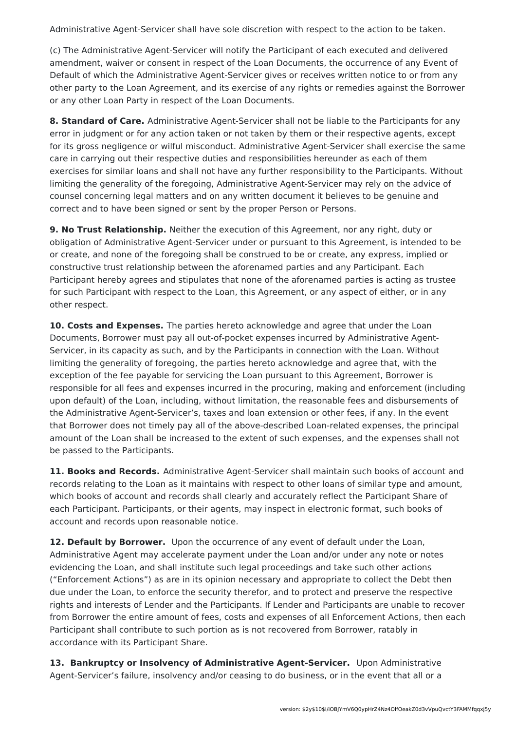Administrative Agent-Servicer shall have sole discretion with respect to the action to be taken.

(c) The Administrative Agent-Servicer will notify the Participant of each executed and delivered amendment, waiver or consent in respect of the Loan Documents, the occurrence of any Event of Default of which the Administrative Agent-Servicer gives or receives written notice to or from any other party to the Loan Agreement, and its exercise of any rights or remedies against the Borrower or any other Loan Party in respect of the Loan Documents.

**8. Standard of Care.** Administrative Agent-Servicer shall not be liable to the Participants for any error in judgment or for any action taken or not taken by them or their respective agents, except for its gross negligence or wilful misconduct. Administrative Agent-Servicer shall exercise the same care in carrying out their respective duties and responsibilities hereunder as each of them exercises for similar loans and shall not have any further responsibility to the Participants. Without limiting the generality of the foregoing, Administrative Agent-Servicer may rely on the advice of counsel concerning legal matters and on any written document it believes to be genuine and correct and to have been signed or sent by the proper Person or Persons.

**9. No Trust Relationship.** Neither the execution of this Agreement, nor any right, duty or obligation of Administrative Agent-Servicer under or pursuant to this Agreement, is intended to be or create, and none of the foregoing shall be construed to be or create, any express, implied or constructive trust relationship between the aforenamed parties and any Participant. Each Participant hereby agrees and stipulates that none of the aforenamed parties is acting as trustee for such Participant with respect to the Loan, this Agreement, or any aspect of either, or in any other respect.

**10. Costs and Expenses.** The parties hereto acknowledge and agree that under the Loan Documents, Borrower must pay all out-of-pocket expenses incurred by Administrative Agent-Servicer, in its capacity as such, and by the Participants in connection with the Loan. Without limiting the generality of foregoing, the parties hereto acknowledge and agree that, with the exception of the fee payable for servicing the Loan pursuant to this Agreement, Borrower is responsible for all fees and expenses incurred in the procuring, making and enforcement (including upon default) of the Loan, including, without limitation, the reasonable fees and disbursements of the Administrative Agent-Servicer's, taxes and loan extension or other fees, if any. In the event that Borrower does not timely pay all of the above-described Loan-related expenses, the principal amount of the Loan shall be increased to the extent of such expenses, and the expenses shall not be passed to the Participants.

**11. Books and Records.** Administrative Agent-Servicer shall maintain such books of account and records relating to the Loan as it maintains with respect to other loans of similar type and amount, which books of account and records shall clearly and accurately reflect the Participant Share of each Participant. Participants, or their agents, may inspect in electronic format, such books of account and records upon reasonable notice.

**12. Default by Borrower.** Upon the occurrence of any event of default under the Loan, Administrative Agent may accelerate payment under the Loan and/or under any note or notes evidencing the Loan, and shall institute such legal proceedings and take such other actions ("Enforcement Actions") as are in its opinion necessary and appropriate to collect the Debt then due under the Loan, to enforce the security therefor, and to protect and preserve the respective rights and interests of Lender and the Participants. If Lender and Participants are unable to recover from Borrower the entire amount of fees, costs and expenses of all Enforcement Actions, then each Participant shall contribute to such portion as is not recovered from Borrower, ratably in accordance with its Participant Share.

**13. Bankruptcy or Insolvency of Administrative Agent-Servicer.** Upon Administrative Agent-Servicer's failure, insolvency and/or ceasing to do business, or in the event that all or a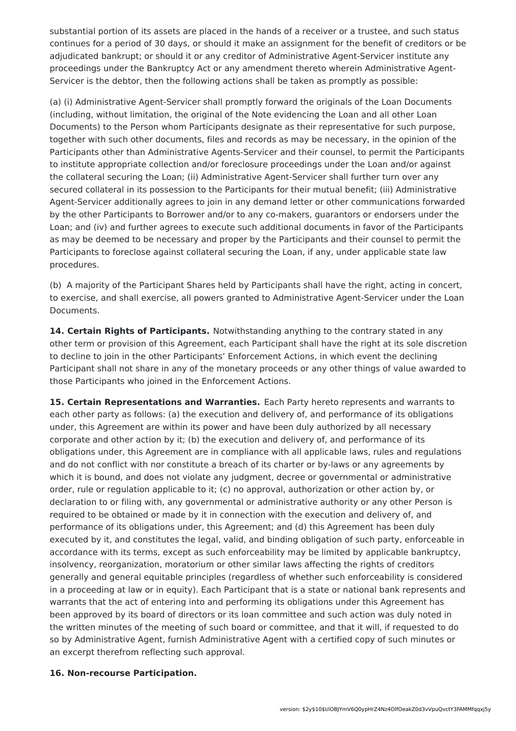substantial portion of its assets are placed in the hands of a receiver or a trustee, and such status continues for a period of 30 days, or should it make an assignment for the benefit of creditors or be adjudicated bankrupt; or should it or any creditor of Administrative Agent-Servicer institute any proceedings under the Bankruptcy Act or any amendment thereto wherein Administrative Agent-Servicer is the debtor, then the following actions shall be taken as promptly as possible:

(a) (i) Administrative Agent-Servicer shall promptly forward the originals of the Loan Documents (including, without limitation, the original of the Note evidencing the Loan and all other Loan Documents) to the Person whom Participants designate as their representative for such purpose, together with such other documents, files and records as may be necessary, in the opinion of the Participants other than Administrative Agents-Servicer and their counsel, to permit the Participants to institute appropriate collection and/or foreclosure proceedings under the Loan and/or against the collateral securing the Loan; (ii) Administrative Agent-Servicer shall further turn over any secured collateral in its possession to the Participants for their mutual benefit; (iii) Administrative Agent-Servicer additionally agrees to join in any demand letter or other communications forwarded by the other Participants to Borrower and/or to any co-makers, guarantors or endorsers under the Loan; and (iv) and further agrees to execute such additional documents in favor of the Participants as may be deemed to be necessary and proper by the Participants and their counsel to permit the Participants to foreclose against collateral securing the Loan, if any, under applicable state law procedures.

(b) A majority of the Participant Shares held by Participants shall have the right, acting in concert, to exercise, and shall exercise, all powers granted to Administrative Agent-Servicer under the Loan Documents.

**14. Certain Rights of Participants.** Notwithstanding anything to the contrary stated in any other term or provision of this Agreement, each Participant shall have the right at its sole discretion to decline to join in the other Participants' Enforcement Actions, in which event the declining Participant shall not share in any of the monetary proceeds or any other things of value awarded to those Participants who joined in the Enforcement Actions.

**15. Certain Representations and Warranties.** Each Party hereto represents and warrants to each other party as follows: (a) the execution and delivery of, and performance of its obligations under, this Agreement are within its power and have been duly authorized by all necessary corporate and other action by it; (b) the execution and delivery of, and performance of its obligations under, this Agreement are in compliance with all applicable laws, rules and regulations and do not conflict with nor constitute a breach of its charter or by-laws or any agreements by which it is bound, and does not violate any judgment, decree or governmental or administrative order, rule or regulation applicable to it; (c) no approval, authorization or other action by, or declaration to or filing with, any governmental or administrative authority or any other Person is required to be obtained or made by it in connection with the execution and delivery of, and performance of its obligations under, this Agreement; and (d) this Agreement has been duly executed by it, and constitutes the legal, valid, and binding obligation of such party, enforceable in accordance with its terms, except as such enforceability may be limited by applicable bankruptcy, insolvency, reorganization, moratorium or other similar laws affecting the rights of creditors generally and general equitable principles (regardless of whether such enforceability is considered in a proceeding at law or in equity). Each Participant that is a state or national bank represents and warrants that the act of entering into and performing its obligations under this Agreement has been approved by its board of directors or its loan committee and such action was duly noted in the written minutes of the meeting of such board or committee, and that it will, if requested to do so by Administrative Agent, furnish Administrative Agent with a certified copy of such minutes or an excerpt therefrom reflecting such approval.

#### **16. Non-recourse Participation.**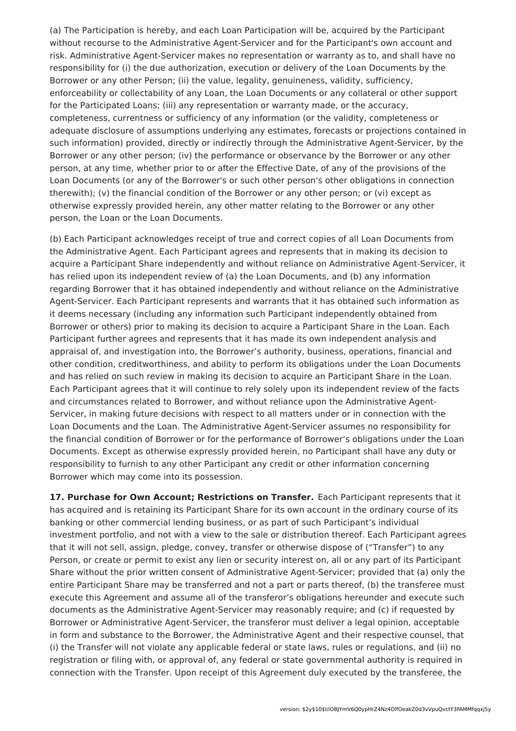(a) The Participation is hereby, and each Loan Participation will be, acquired by the Participant without recourse to the Administrative Agent-Servicer and for the Participant's own account and risk. Administrative Agent-Servicer makes no representation or warranty as to, and shall have no responsibility for (i) the due authorization, execution or delivery of the Loan Documents by the Borrower or any other Person; (ii) the value, legality, genuineness, validity, sufficiency, enforceability or collectability of any Loan, the Loan Documents or any collateral or other support for the Participated Loans; (iii) any representation or warranty made, or the accuracy, completeness, currentness or sufficiency of any information (or the validity, completeness or adequate disclosure of assumptions underlying any estimates, forecasts or projections contained in such information) provided, directly or indirectly through the Administrative Agent-Servicer, by the Borrower or any other person; (iv) the performance or observance by the Borrower or any other person, at any time, whether prior to or after the Effective Date, of any of the provisions of the Loan Documents (or any of the Borrower's or such other person's other obligations in connection therewith); (v) the financial condition of the Borrower or any other person; or (vi) except as otherwise expressly provided herein, any other matter relating to the Borrower or any other person, the Loan or the Loan Documents.

(b) Each Participant acknowledges receipt of true and correct copies of all Loan Documents from the Administrative Agent. Each Participant agrees and represents that in making its decision to acquire a Participant Share independently and without reliance on Administrative Agent-Servicer, it has relied upon its independent review of (a) the Loan Documents, and (b) any information regarding Borrower that it has obtained independently and without reliance on the Administrative Agent-Servicer. Each Participant represents and warrants that it has obtained such information as it deems necessary (including any information such Participant independently obtained from Borrower or others) prior to making its decision to acquire a Participant Share in the Loan. Each Participant further agrees and represents that it has made its own independent analysis and appraisal of, and investigation into, the Borrower's authority, business, operations, financial and other condition, creditworthiness, and ability to perform its obligations under the Loan Documents and has relied on such review in making its decision to acquire an Participant Share in the Loan. Each Participant agrees that it will continue to rely solely upon its independent review of the facts and circumstances related to Borrower, and without reliance upon the Administrative Agent-Servicer, in making future decisions with respect to all matters under or in connection with the Loan Documents and the Loan. The Administrative Agent-Servicer assumes no responsibility for the financial condition of Borrower or for the performance of Borrower's obligations under the Loan Documents. Except as otherwise expressly provided herein, no Participant shall have any duty or responsibility to furnish to any other Participant any credit or other information concerning Borrower which may come into its possession.

**17. Purchase for Own Account; Restrictions on Transfer.** Each Participant represents that it has acquired and is retaining its Participant Share for its own account in the ordinary course of its banking or other commercial lending business, or as part of such Participant's individual investment portfolio, and not with a view to the sale or distribution thereof. Each Participant agrees that it will not sell, assign, pledge, convey, transfer or otherwise dispose of ("Transfer") to any Person, or create or permit to exist any lien or security interest on, all or any part of its Participant Share without the prior written consent of Administrative Agent-Servicer; provided that (a) only the entire Participant Share may be transferred and not a part or parts thereof, (b) the transferee must execute this Agreement and assume all of the transferor's obligations hereunder and execute such documents as the Administrative Agent-Servicer may reasonably require; and (c) if requested by Borrower or Administrative Agent-Servicer, the transferor must deliver a legal opinion, acceptable in form and substance to the Borrower, the Administrative Agent and their respective counsel, that (i) the Transfer will not violate any applicable federal or state laws, rules or regulations, and (ii) no registration or filing with, or approval of, any federal or state governmental authority is required in connection with the Transfer. Upon receipt of this Agreement duly executed by the transferee, the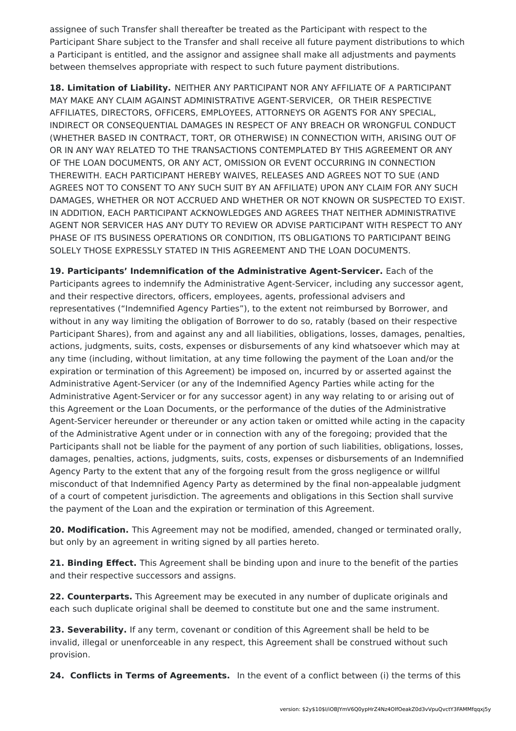assignee of such Transfer shall thereafter be treated as the Participant with respect to the Participant Share subject to the Transfer and shall receive all future payment distributions to which a Participant is entitled, and the assignor and assignee shall make all adjustments and payments between themselves appropriate with respect to such future payment distributions.

**18. Limitation of Liability.** NEITHER ANY PARTICIPANT NOR ANY AFFILIATE OF A PARTICIPANT MAY MAKE ANY CLAIM AGAINST ADMINISTRATIVE AGENT-SERVICER, OR THEIR RESPECTIVE AFFILIATES, DIRECTORS, OFFICERS, EMPLOYEES, ATTORNEYS OR AGENTS FOR ANY SPECIAL, INDIRECT OR CONSEQUENTIAL DAMAGES IN RESPECT OF ANY BREACH OR WRONGFUL CONDUCT (WHETHER BASED IN CONTRACT, TORT, OR OTHERWISE) IN CONNECTION WITH, ARISING OUT OF OR IN ANY WAY RELATED TO THE TRANSACTIONS CONTEMPLATED BY THIS AGREEMENT OR ANY OF THE LOAN DOCUMENTS, OR ANY ACT, OMISSION OR EVENT OCCURRING IN CONNECTION THEREWITH. EACH PARTICIPANT HEREBY WAIVES, RELEASES AND AGREES NOT TO SUE (AND AGREES NOT TO CONSENT TO ANY SUCH SUIT BY AN AFFILIATE) UPON ANY CLAIM FOR ANY SUCH DAMAGES, WHETHER OR NOT ACCRUED AND WHETHER OR NOT KNOWN OR SUSPECTED TO EXIST. IN ADDITION, EACH PARTICIPANT ACKNOWLEDGES AND AGREES THAT NEITHER ADMINISTRATIVE AGENT NOR SERVICER HAS ANY DUTY TO REVIEW OR ADVISE PARTICIPANT WITH RESPECT TO ANY PHASE OF ITS BUSINESS OPERATIONS OR CONDITION, ITS OBLIGATIONS TO PARTICIPANT BEING SOLELY THOSE EXPRESSLY STATED IN THIS AGREEMENT AND THE LOAN DOCUMENTS.

**19. Participants' Indemnification of the Administrative Agent-Servicer.** Each of the Participants agrees to indemnify the Administrative Agent-Servicer, including any successor agent, and their respective directors, officers, employees, agents, professional advisers and representatives ("Indemnified Agency Parties"), to the extent not reimbursed by Borrower, and without in any way limiting the obligation of Borrower to do so, ratably (based on their respective Participant Shares), from and against any and all liabilities, obligations, losses, damages, penalties, actions, judgments, suits, costs, expenses or disbursements of any kind whatsoever which may at any time (including, without limitation, at any time following the payment of the Loan and/or the expiration or termination of this Agreement) be imposed on, incurred by or asserted against the Administrative Agent-Servicer (or any of the Indemnified Agency Parties while acting for the Administrative Agent-Servicer or for any successor agent) in any way relating to or arising out of this Agreement or the Loan Documents, or the performance of the duties of the Administrative Agent-Servicer hereunder or thereunder or any action taken or omitted while acting in the capacity of the Administrative Agent under or in connection with any of the foregoing; provided that the Participants shall not be liable for the payment of any portion of such liabilities, obligations, losses, damages, penalties, actions, judgments, suits, costs, expenses or disbursements of an Indemnified Agency Party to the extent that any of the forgoing result from the gross negligence or willful misconduct of that Indemnified Agency Party as determined by the final non-appealable judgment of a court of competent jurisdiction. The agreements and obligations in this Section shall survive the payment of the Loan and the expiration or termination of this Agreement.

**20. Modification.** This Agreement may not be modified, amended, changed or terminated orally, but only by an agreement in writing signed by all parties hereto.

**21. Binding Effect.** This Agreement shall be binding upon and inure to the benefit of the parties and their respective successors and assigns.

**22. Counterparts.** This Agreement may be executed in any number of duplicate originals and each such duplicate original shall be deemed to constitute but one and the same instrument.

**23. Severability.** If any term, covenant or condition of this Agreement shall be held to be invalid, illegal or unenforceable in any respect, this Agreement shall be construed without such provision.

**24. Conflicts in Terms of Agreements.** In the event of a conflict between (i) the terms of this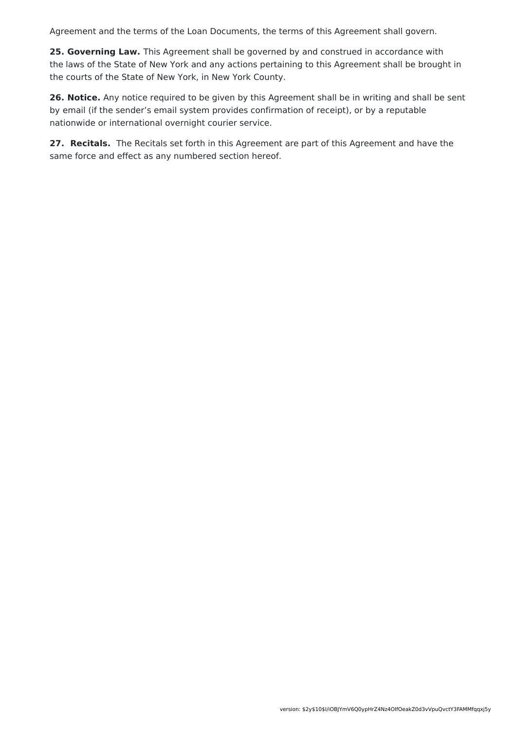Agreement and the terms of the Loan Documents, the terms of this Agreement shall govern.

**25. Governing Law.** This Agreement shall be governed by and construed in accordance with the laws of the State of New York and any actions pertaining to this Agreement shall be brought in the courts of the State of New York, in New York County.

**26. Notice.** Any notice required to be given by this Agreement shall be in writing and shall be sent by email (if the sender's email system provides confirmation of receipt), or by a reputable nationwide or international overnight courier service.

**27. Recitals.** The Recitals set forth in this Agreement are part of this Agreement and have the same force and effect as any numbered section hereof.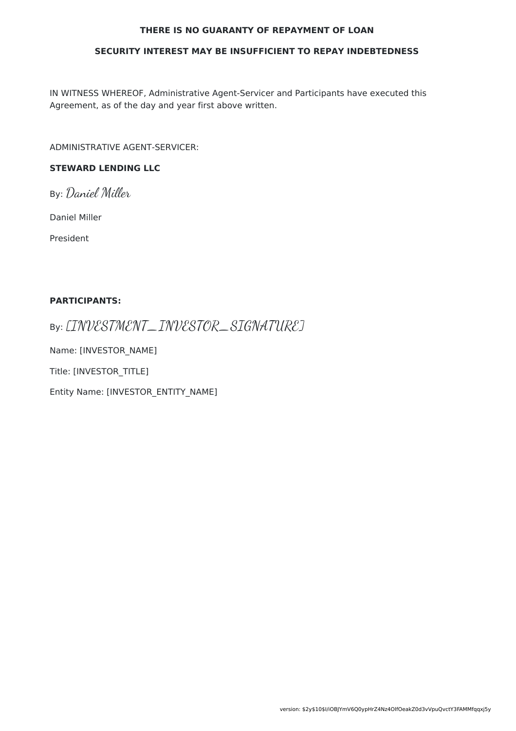#### **THERE IS NO GUARANTY OF REPAYMENT OF LOAN**

#### **SECURITY INTEREST MAY BE INSUFFICIENT TO REPAY INDEBTEDNESS**

IN WITNESS WHEREOF, Administrative Agent-Servicer and Participants have executed this Agreement, as of the day and year first above written.

ADMINISTRATIVE AGENT-SERVICER:

### **STEWARD LENDING LLC**

By: Daniel Miller

Daniel Miller

President

#### **PARTICIPANTS:**

By: [INVESTMENT\_INVESTOR\_SIGNATURE]

Name: [INVESTOR\_NAME]

Title: [INVESTOR\_TITLE]

Entity Name: [INVESTOR\_ENTITY\_NAME]